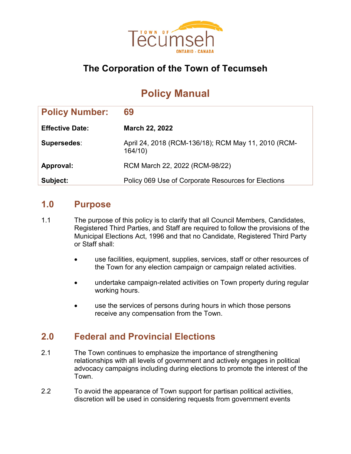

# **The Corporation of the Town of Tecumseh**

# **Policy Manual**

| <b>Policy Number:</b>  | 69                                                            |
|------------------------|---------------------------------------------------------------|
| <b>Effective Date:</b> | <b>March 22, 2022</b>                                         |
| Supersedes:            | April 24, 2018 (RCM-136/18); RCM May 11, 2010 (RCM-<br>164/10 |
| Approval:              | RCM March 22, 2022 (RCM-98/22)                                |
| Subject:               | Policy 069 Use of Corporate Resources for Elections           |

#### **1.0 Purpose**

- 1.1 The purpose of this policy is to clarify that all Council Members, Candidates, Registered Third Parties, and Staff are required to follow the provisions of the Municipal Elections Act, 1996 and that no Candidate, Registered Third Party or Staff shall:
	- use facilities, equipment, supplies, services, staff or other resources of the Town for any election campaign or campaign related activities.
	- undertake campaign-related activities on Town property during regular working hours.
	- use the services of persons during hours in which those persons receive any compensation from the Town.

# **2.0 Federal and Provincial Elections**

- 2.1 The Town continues to emphasize the importance of strengthening relationships with all levels of government and actively engages in political advocacy campaigns including during elections to promote the interest of the Town.
- 2.2 To avoid the appearance of Town support for partisan political activities, discretion will be used in considering requests from government events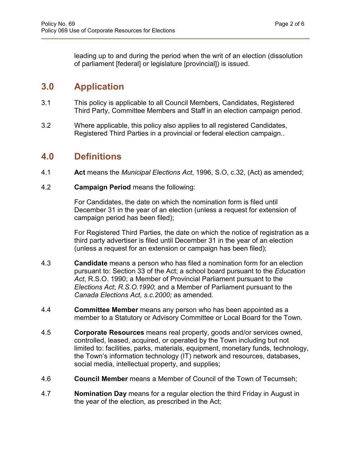leading up to and during the period when the writ of an election (dissolution of parliament [federal] or legislature [provincial]) is issued.

# **3.0 Application**

- 3.1 This policy is applicable to all Council Members, Candidates, Registered Third Party, Committee Members and Staff in an election campaign period.
- 3.2 Where applicable, this policy also applies to all registered Candidates, Registered Third Parties in a provincial or federal election campaign..

#### **4.0 Definitions**

- 4.1 **Act** means the *Municipal Elections Act*, 1996, S.O, c.32, (Act) as amended;
- 4.2 **Campaign Period** means the following:

For Candidates, the date on which the nomination form is filed until December 31 in the year of an election (unless a request for extension of campaign period has been filed);

For Registered Third Parties, the date on which the notice of registration as a third party advertiser is filed until December 31 in the year of an election (unless a request for an extension or campaign has been filed);

- 4.3 **Candidate** means a person who has filed a nomination form for an election pursuant to: Section 33 of the Act; a school board pursuant to the *Education Act*, R.S.O. 1990; a Member of Provincial Parliament pursuant to the *Elections Act*; *R.S.O.1990*; and a Member of Parliament pursuant to the *Canada Elections Act, s.c.2000;* as amended*.*
- 4.4 **Committee Member** means any person who has been appointed as a member to a Statutory or Advisory Committee or Local Board for the Town.
- 4.5 **Corporate Resources** means real property, goods and/or services owned, controlled, leased, acquired, or operated by the Town including but not limited to: facilities, parks, materials, equipment, monetary funds, technology, the Town's information technology (IT) network and resources, databases, social media, intellectual property, and supplies;
- 4.6 **Council Member** means a Member of Council of the Town of Tecumseh;
- 4.7 **Nomination Day** means for a regular election the third Friday in August in the year of the election, as prescribed in the Act;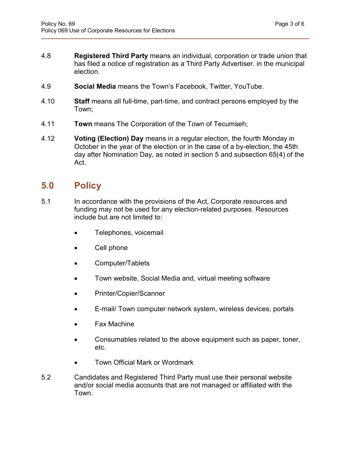- 4.8 **Registered Third Party** means an individual, corporation or trade union that has filed a notice of registration as a Third Party Advertiser. in the municipal election.
- 4.9 **Social Media** means the Town's Facebook, Twitter, YouTube.
- 4.10 **Staff** means all full-time, part-time, and contract persons employed by the Town;
- 4.11 **Town** means The Corporation of the Town of Tecumseh;
- 4.12 **Voting (Election) Day** means in a regular election, the fourth Monday in October in the year of the election or in the case of a by-election, the 45th day after Nomination Day, as noted in section 5 and subsection 65(4) of the Act.

# **5.0 Policy**

- 5.1 In accordance with the provisions of the Act, Corporate resources and funding may not be used for any election-related purposes. Resources include but are not limited to:
	- Telephones, voicemail
	- Cell phone
	- Computer/Tablets
	- Town website, Social Media and, virtual meeting software
	- Printer/Copier/Scanner
	- E-mail/ Town computer network system, wireless devices, portals
	- Fax Machine
	- Consumables related to the above equipment such as paper, toner, etc.
	- Town Official Mark or Wordmark
- 5.2 Candidates and Registered Third Party must use their personal website and/or social media accounts that are not managed or affiliated with the Town.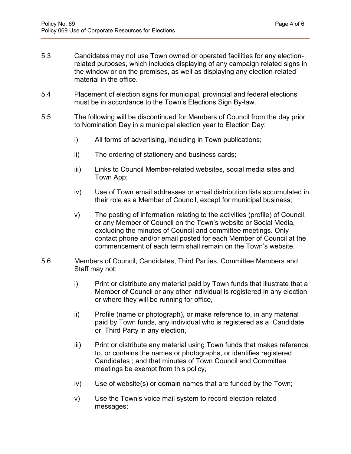- 5.3 Candidates may not use Town owned or operated facilities for any electionrelated purposes, which includes displaying of any campaign related signs in the window or on the premises, as well as displaying any election-related material in the office.
- 5.4 Placement of election signs for municipal, provincial and federal elections must be in accordance to the Town's Elections Sign By-law.
- 5.5 The following will be discontinued for Members of Council from the day prior to Nomination Day in a municipal election year to Election Day:
	- i) All forms of advertising, including in Town publications;
	- ii) The ordering of stationery and business cards;
	- iii) Links to Council Member-related websites, social media sites and Town App;
	- iv) Use of Town email addresses or email distribution lists accumulated in their role as a Member of Council, except for municipal business;
	- v) The posting of information relating to the activities (profile) of Council, or any Member of Council on the Town's website or Social Media, excluding the minutes of Council and committee meetings. Only contact phone and/or email posted for each Member of Council at the commencement of each term shall remain on the Town's website.
- 5.6 Members of Council, Candidates, Third Parties, Committee Members and Staff may not:
	- i) Print or distribute any material paid by Town funds that illustrate that a Member of Council or any other individual is registered in any election or where they will be running for office,
	- ii) Profile (name or photograph), or make reference to, in any material paid by Town funds, any individual who is registered as a Candidate or Third Party in any election,
	- iii) Print or distribute any material using Town funds that makes reference to, or contains the names or photographs, or identifies registered Candidates ; and that minutes of Town Council and Committee meetings be exempt from this policy,
	- iv) Use of website(s) or domain names that are funded by the Town;
	- v) Use the Town's voice mail system to record election-related messages;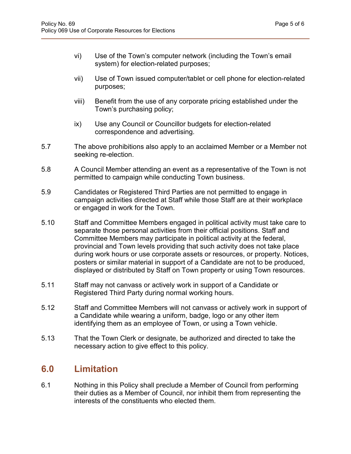- vi) Use of the Town's computer network (including the Town's email system) for election-related purposes;
- vii) Use of Town issued computer/tablet or cell phone for election-related purposes;
- viii) Benefit from the use of any corporate pricing established under the Town's purchasing policy;
- ix) Use any Council or Councillor budgets for election-related correspondence and advertising.
- 5.7 The above prohibitions also apply to an acclaimed Member or a Member not seeking re-election.
- 5.8 A Council Member attending an event as a representative of the Town is not permitted to campaign while conducting Town business.
- 5.9 Candidates or Registered Third Parties are not permitted to engage in campaign activities directed at Staff while those Staff are at their workplace or engaged in work for the Town.
- 5.10 Staff and Committee Members engaged in political activity must take care to separate those personal activities from their official positions. Staff and Committee Members may participate in political activity at the federal, provincial and Town levels providing that such activity does not take place during work hours or use corporate assets or resources, or property. Notices, posters or similar material in support of a Candidate are not to be produced, displayed or distributed by Staff on Town property or using Town resources.
- 5.11 Staff may not canvass or actively work in support of a Candidate or Registered Third Party during normal working hours.
- 5.12 Staff and Committee Members will not canvass or actively work in support of a Candidate while wearing a uniform, badge, logo or any other item identifying them as an employee of Town, or using a Town vehicle.
- 5.13 That the Town Clerk or designate, be authorized and directed to take the necessary action to give effect to this policy.

# **6.0 Limitation**

6.1 Nothing in this Policy shall preclude a Member of Council from performing their duties as a Member of Council, nor inhibit them from representing the interests of the constituents who elected them.